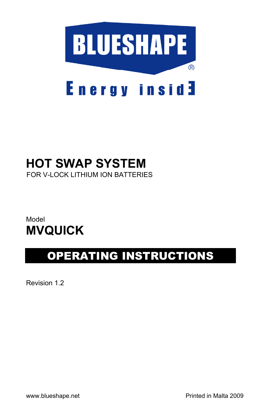

# **HOT SWAP SYSTEM**

FOR V-LOCK LITHIUM ION BATTERIES

### Model **MVQUICK**

## OPERATING INSTRUCTIONS

Revision 1.2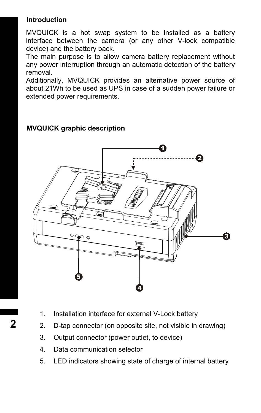#### **Introduction**

MVQUICK is a hot swap system to be installed as a battery interface between the camera (or any other V-lock compatible device) and the battery pack.

The main purpose is to allow camera battery replacement without any power interruption through an automatic detection of the battery removal.

Additionally, MVQUICK provides an alternative power source of about 21Wh to be used as UPS in case of a sudden power failure or extended power requirements.

#### **MVQUICK graphic description**



- 1. Installation interface for external V-Lock battery
- 2. D-tap connector (on opposite site, not visible in drawing)
- 3. Output connector (power outlet, to device)
- 4. Data communication selector
- 5. LED indicators showing state of charge of internal battery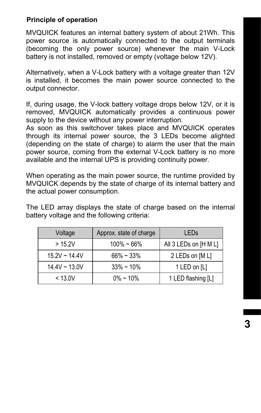#### **Principle of operation**

MVQUICK features an internal battery system of about 21Wh. This power source is automatically connected to the output terminals (becoming the only power source) whenever the main V-Lock battery is not installed, removed or empty (voltage below 12V).

Alternatively, when a V-Lock battery with a voltage greater than 12V is installed, it becomes the main power source connected to the output connector.

If, during usage, the V-lock battery voltage drops below 12V, or it is removed, MVQUICK automatically provides a continuous power supply to the device without any power interruption.

As soon as this switchover takes place and MVQUICK operates through its internal power source, the 3 LEDs become alighted (depending on the state of charge) to alarm the user that the main power source, coming from the external V-Lock battery is no more available and the internal UPS is providing continuity power.

When operating as the main power source, the runtime provided by MVQUICK depends by the state of charge of its internal battery and the actual power consumption.

The LED array displays the state of charge based on the internal battery voltage and the following criteria:

| Voltage            | Approx. state of charge | LEDs                  |
|--------------------|-------------------------|-----------------------|
| >15.2V             | $100\% - 66\%$          | All 3 LEDs on [H M L] |
| $15.2V \sim 14.4V$ | $66\% \sim 33\%$        | 2 LEDs on [M L]       |
| $14.4V \sim 13.0V$ | $33\% \sim 10\%$        | 1 LED on [L]          |
| < 13.0V            | $0\% \sim 10\%$         | 1 LED flashing [L]    |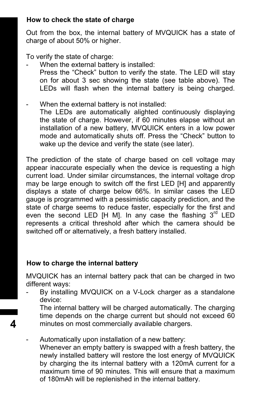#### **How to check the state of charge**

Out from the box, the internal battery of MVQUICK has a state of charge of about 50% or higher.

To verify the state of charge:

- When the external battery is installed: Press the "Check" button to verify the state. The LED will stay on for about 3 sec showing the state (see table above). The LEDs will flash when the internal battery is being charged.
- When the external battery is not installed: The LEDs are automatically alighted continuously displaying the state of charge. However, if 60 minutes elapse without an installation of a new battery, MVQUICK enters in a low power mode and automatically shuts off. Press the "Check" button to wake up the device and verify the state (see later).

The prediction of the state of charge based on cell voltage may appear inaccurate especially when the device is requesting a high current load. Under similar circumstances, the internal voltage drop may be large enough to switch off the first LED [H] and apparently displays a state of charge below 66%. In similar cases the LED gauge is programmed with a pessimistic capacity prediction, and the state of charge seems to reduce faster, especially for the first and even the second LED [H M]. In any case the flashing  $3<sup>rd</sup>$  LED represents a critical threshold after which the camera should be switched off or alternatively, a fresh battery installed.

#### **How to charge the internal battery**

**4**

MVQUICK has an internal battery pack that can be charged in two different ways:

By installing MVQUICK on a V-Lock charger as a standalone device:

The internal battery will be charged automatically. The charging time depends on the charge current but should not exceed 60 minutes on most commercially available chargers.

Automatically upon installation of a new battery: Whenever an empty battery is swapped with a fresh battery, the newly installed battery will restore the lost energy of MVQUICK by charging the its internal battery with a 120mA current for a maximum time of 90 minutes. This will ensure that a maximum of 180mAh will be replenished in the internal battery.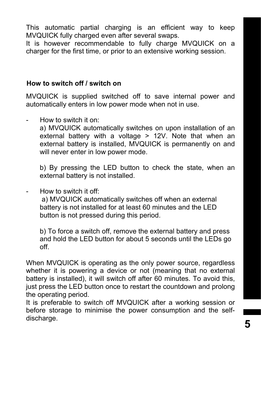This automatic partial charging is an efficient way to keep MVQUICK fully charged even after several swaps.

It is however recommendable to fully charge MVQUICK on a charger for the first time, or prior to an extensive working session.

#### **How to switch off / switch on**

MVQUICK is supplied switched off to save internal power and automatically enters in low power mode when not in use.

- How to switch it on:

a) MVQUICK automatically switches on upon installation of an external battery with a voltage > 12V. Note that when an external battery is installed, MVQUICK is permanently on and will never enter in low power mode.

b) By pressing the LED button to check the state, when an external battery is not installed.

How to switch it off:

 a) MVQUICK automatically switches off when an external battery is not installed for at least 60 minutes and the LED button is not pressed during this period.

b) To force a switch off, remove the external battery and press and hold the LED button for about 5 seconds until the LEDs go off.

When MVQUICK is operating as the only power source, regardless whether it is powering a device or not (meaning that no external battery is installed), it will switch off after 60 minutes. To avoid this, just press the LED button once to restart the countdown and prolong the operating period.

It is preferable to switch off MVQUICK after a working session or before storage to minimise the power consumption and the selfdischarge.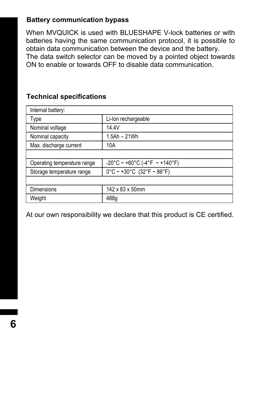#### **Battery communication bypass**

When MVQUICK is used with BLUESHAPE V-lock batteries or with batteries having the same communication protocol, it is possible to obtain data communication between the device and the battery. The data switch selector can be moved by a pointed object towards ON to enable or towards OFF to disable data communication.

#### **Technical specifications**

| Internal battery:           |                                                                      |
|-----------------------------|----------------------------------------------------------------------|
| Type                        | Li-lon rechargeable                                                  |
| Nominal voltage             | 14.4V                                                                |
| Nominal capacity            | 1.5Ah - 21Wh                                                         |
| Max. discharge current      | 10A                                                                  |
|                             |                                                                      |
| Operating temperature range | $-20^{\circ}$ C ~ +60°C (-4°F ~ +140°F)                              |
| Storage temperature range   | $0^{\circ}$ C ~ +30 $^{\circ}$ C (32 $^{\circ}$ F ~ 86 $^{\circ}$ F) |
|                             |                                                                      |
| Dimensions                  | 142 x 83 x 50mm                                                      |
| Weight                      | 488g                                                                 |

At our own responsibility we declare that this product is CE certified.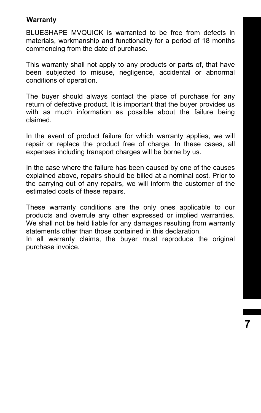#### **Warranty**

BLUESHAPE MVQUICK is warranted to be free from defects in materials, workmanship and functionality for a period of 18 months commencing from the date of purchase.

This warranty shall not apply to any products or parts of, that have been subjected to misuse, negligence, accidental or abnormal conditions of operation.

The buyer should always contact the place of purchase for any return of defective product. It is important that the buyer provides us with as much information as possible about the failure being claimed.

In the event of product failure for which warranty applies, we will repair or replace the product free of charge. In these cases, all expenses including transport charges will be borne by us.

In the case where the failure has been caused by one of the causes explained above, repairs should be billed at a nominal cost. Prior to the carrying out of any repairs, we will inform the customer of the estimated costs of these repairs.

These warranty conditions are the only ones applicable to our products and overrule any other expressed or implied warranties. We shall not be held liable for any damages resulting from warranty statements other than those contained in this declaration.

In all warranty claims, the buyer must reproduce the original purchase invoice.